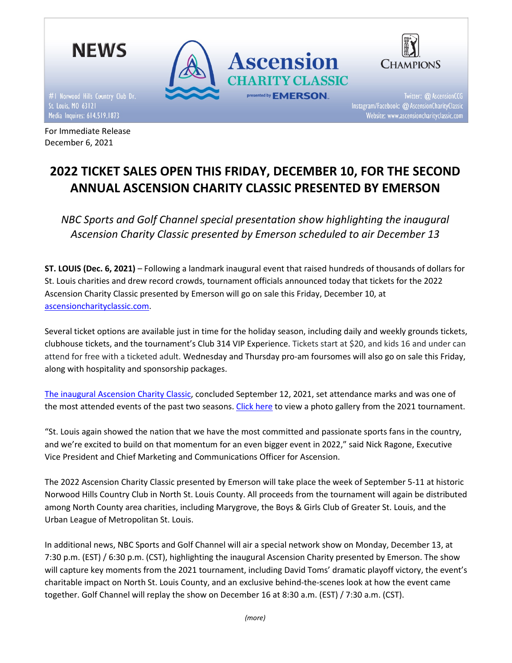

December 6, 2021

2022 TICKET SALES OPEN THIS FRIDAY, DECEMBER 10, FOR THE SECOND ANNUAL ASCENSION CHARITY CLASSIC PRESENTED BY EMERSON

NBC Sports and Golf Channel special presentation show highlighting the inaugural Ascension Charity Classic presented by Emerson scheduled to air December 13

ST. LOUIS (Dec. 6, 2021) – Following a landmark inaugural event that raised hundreds of thousands of dollars for St. Louis charities and drew record crowds, tournament officials announced today that tickets for the 2022 Ascension Charity Classic presented by Emerson will go on sale this Friday, December 10, at ascensioncharityclassic.com.

Several ticket options are available just in time for the holiday season, including daily and weekly grounds tickets, clubhouse tickets, and the tournament's Club 314 VIP Experience. Tickets start at \$20, and kids 16 and under can attend for free with a ticketed adult. Wednesday and Thursday pro-am foursomes will also go on sale this Friday, along with hospitality and sponsorship packages.

The inaugural Ascension Charity Classic, concluded September 12, 2021, set attendance marks and was one of the most attended events of the past two seasons. Click here to view a photo gallery from the 2021 tournament.

"St. Louis again showed the nation that we have the most committed and passionate sports fans in the country, and we're excited to build on that momentum for an even bigger event in 2022," said Nick Ragone, Executive Vice President and Chief Marketing and Communications Officer for Ascension.

The 2022 Ascension Charity Classic presented by Emerson will take place the week of September 5-11 at historic Norwood Hills Country Club in North St. Louis County. All proceeds from the tournament will again be distributed among North County area charities, including Marygrove, the Boys & Girls Club of Greater St. Louis, and the Urban League of Metropolitan St. Louis.

In additional news, NBC Sports and Golf Channel will air a special network show on Monday, December 13, at 7:30 p.m. (EST) / 6:30 p.m. (CST), highlighting the inaugural Ascension Charity presented by Emerson. The show will capture key moments from the 2021 tournament, including David Toms' dramatic playoff victory, the event's charitable impact on North St. Louis County, and an exclusive behind-the-scenes look at how the event came together. Golf Channel will replay the show on December 16 at 8:30 a.m. (EST) / 7:30 a.m. (CST).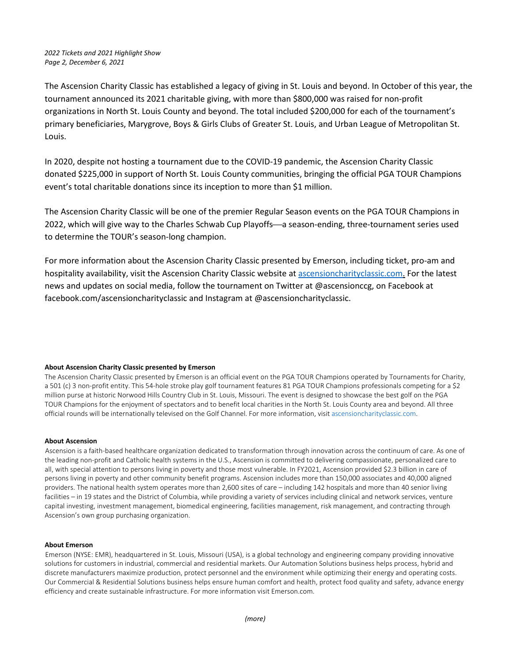# 2022 Tickets and 2021 Highlight Show Page 2, December 6, 2021

The Ascension Charity Classic has established a legacy of giving in St. Louis and beyond. In October of this year, the tournament announced its 2021 charitable giving, with more than \$800,000 was raised for non-profit organizations in North St. Louis County and beyond. The total included \$200,000 for each of the tournament's primary beneficiaries, Marygrove, Boys & Girls Clubs of Greater St. Louis, and Urban League of Metropolitan St. Louis.

In 2020, despite not hosting a tournament due to the COVID-19 pandemic, the Ascension Charity Classic donated \$225,000 in support of North St. Louis County communities, bringing the official PGA TOUR Champions event's total charitable donations since its inception to more than \$1 million.

The Ascension Charity Classic will be one of the premier Regular Season events on the PGA TOUR Champions in 2022, which will give way to the Charles Schwab Cup Playoffs—a season-ending, three-tournament series used to determine the TOUR's season-long champion.

For more information about the Ascension Charity Classic presented by Emerson, including ticket, pro-am and hospitality availability, visit the Ascension Charity Classic website at ascensioncharityclassic.com. For the latest news and updates on social media, follow the tournament on Twitter at @ascensionccg, on Facebook at facebook.com/ascensioncharityclassic and Instagram at @ascensioncharityclassic.

## About Ascension Charity Classic presented by Emerson

The Ascension Charity Classic presented by Emerson is an official event on the PGA TOUR Champions operated by Tournaments for Charity, a 501 (c) 3 non-profit entity. This 54-hole stroke play golf tournament features 81 PGA TOUR Champions professionals competing for a \$2 million purse at historic Norwood Hills Country Club in St. Louis, Missouri. The event is designed to showcase the best golf on the PGA TOUR Champions for the enjoyment of spectators and to benefit local charities in the North St. Louis County area and beyond. All three official rounds will be internationally televised on the Golf Channel. For more information, visit ascensioncharityclassic.com.

## About Ascension

Ascension is a faith-based healthcare organization dedicated to transformation through innovation across the continuum of care. As one of the leading non-profit and Catholic health systems in the U.S., Ascension is committed to delivering compassionate, personalized care to all, with special attention to persons living in poverty and those most vulnerable. In FY2021, Ascension provided \$2.3 billion in care of persons living in poverty and other community benefit programs. Ascension includes more than 150,000 associates and 40,000 aligned providers. The national health system operates more than 2,600 sites of care – including 142 hospitals and more than 40 senior living facilities - in 19 states and the District of Columbia, while providing a variety of services including clinical and network services, venture capital investing, investment management, biomedical engineering, facilities management, risk management, and contracting through Ascension's own group purchasing organization.

## About Emerson

Emerson (NYSE: EMR), headquartered in St. Louis, Missouri (USA), is a global technology and engineering company providing innovative solutions for customers in industrial, commercial and residential markets. Our Automation Solutions business helps process, hybrid and discrete manufacturers maximize production, protect personnel and the environment while optimizing their energy and operating costs. Our Commercial & Residential Solutions business helps ensure human comfort and health, protect food quality and safety, advance energy efficiency and create sustainable infrastructure. For more information visit Emerson.com.